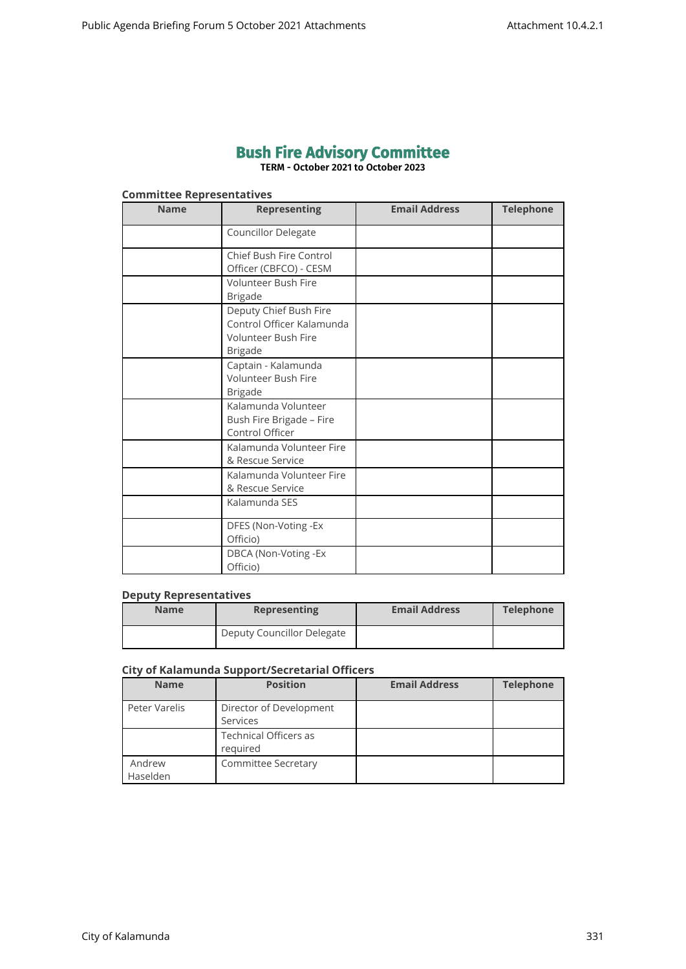# **Bush Fire Advisory Committee**

**TERM - October 2021 to October 2023**

# **Committee Representatives**

| <b>Name</b> | <b>Representing</b>                                                                                 | <b>Email Address</b> | <b>Telephone</b> |
|-------------|-----------------------------------------------------------------------------------------------------|----------------------|------------------|
|             | Councillor Delegate                                                                                 |                      |                  |
|             | Chief Bush Fire Control<br>Officer (CBFCO) - CESM                                                   |                      |                  |
|             | <b>Volunteer Bush Fire</b><br><b>Brigade</b>                                                        |                      |                  |
|             | Deputy Chief Bush Fire<br>Control Officer Kalamunda<br><b>Volunteer Bush Fire</b><br><b>Brigade</b> |                      |                  |
|             | Captain - Kalamunda<br>Volunteer Bush Fire<br><b>Brigade</b>                                        |                      |                  |
|             | Kalamunda Volunteer<br>Bush Fire Brigade - Fire<br>Control Officer                                  |                      |                  |
|             | Kalamunda Volunteer Fire<br>& Rescue Service                                                        |                      |                  |
|             | Kalamunda Volunteer Fire<br>& Rescue Service                                                        |                      |                  |
|             | Kalamunda SES                                                                                       |                      |                  |
|             | DFES (Non-Voting -Ex<br>Officio)                                                                    |                      |                  |
|             | DBCA (Non-Voting -Ex<br>Officio)                                                                    |                      |                  |

#### **Deputy Representatives**

| <b>Name</b> | <b>Representing</b>        | <b>Email Address</b> | <b>Telephone</b> |
|-------------|----------------------------|----------------------|------------------|
|             | Deputy Councillor Delegate |                      |                  |

## **City of Kalamunda Support/Secretarial Officers**

| <b>Name</b>        | <b>Position</b>                          | <b>Email Address</b> | <b>Telephone</b> |
|--------------------|------------------------------------------|----------------------|------------------|
| Peter Varelis      | Director of Development<br>Services      |                      |                  |
|                    | <b>Technical Officers as</b><br>required |                      |                  |
| Andrew<br>Haselden | <b>Committee Secretary</b>               |                      |                  |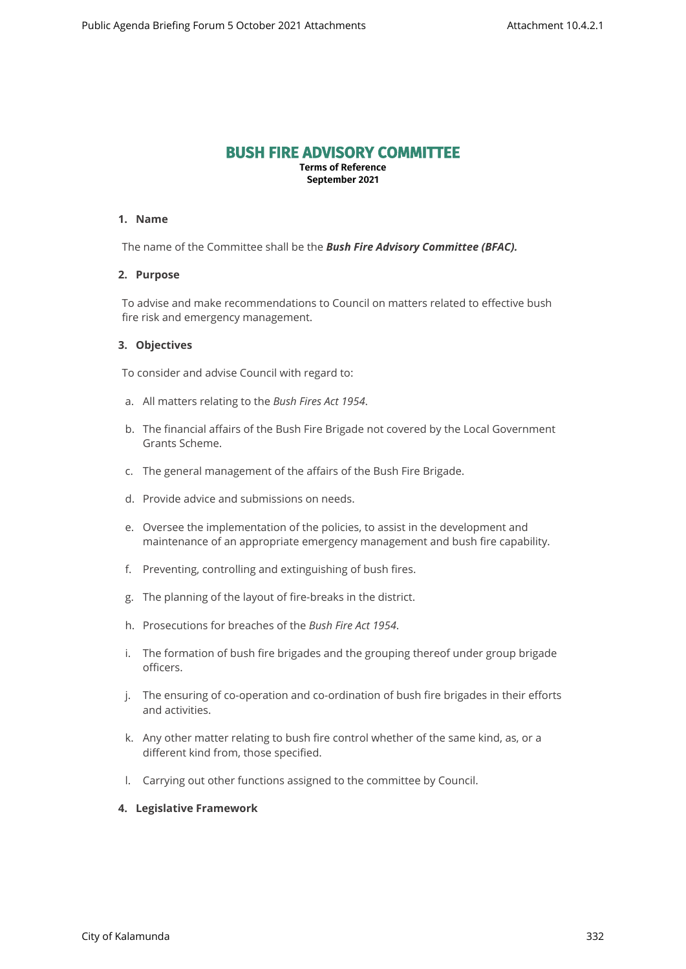# **BUSH FIRE ADVISORY COMMITTEE**

**Terms of Reference September 2021**

### **1. Name**

The name of the Committee shall be the *Bush Fire Advisory Committee (BFAC).*

#### **2. Purpose**

To advise and make recommendations to Council on matters related to effective bush fire risk and emergency management.

#### **3. Objectives**

To consider and advise Council with regard to:

- a. All matters relating to the *Bush Fires Act 1954*.
- b. The financial affairs of the Bush Fire Brigade not covered by the Local Government Grants Scheme.
- c. The general management of the affairs of the Bush Fire Brigade.
- d. Provide advice and submissions on needs.
- e. Oversee the implementation of the policies, to assist in the development and maintenance of an appropriate emergency management and bush fire capability.
- f. Preventing, controlling and extinguishing of bush fires.
- g. The planning of the layout of fire-breaks in the district.
- h. Prosecutions for breaches of the *Bush Fire Act 1954*.
- i. The formation of bush fire brigades and the grouping thereof under group brigade officers.
- j. The ensuring of co-operation and co-ordination of bush fire brigades in their efforts and activities.
- k. Any other matter relating to bush fire control whether of the same kind, as, or a different kind from, those specified.
- l. Carrying out other functions assigned to the committee by Council.

# **4. Legislative Framework**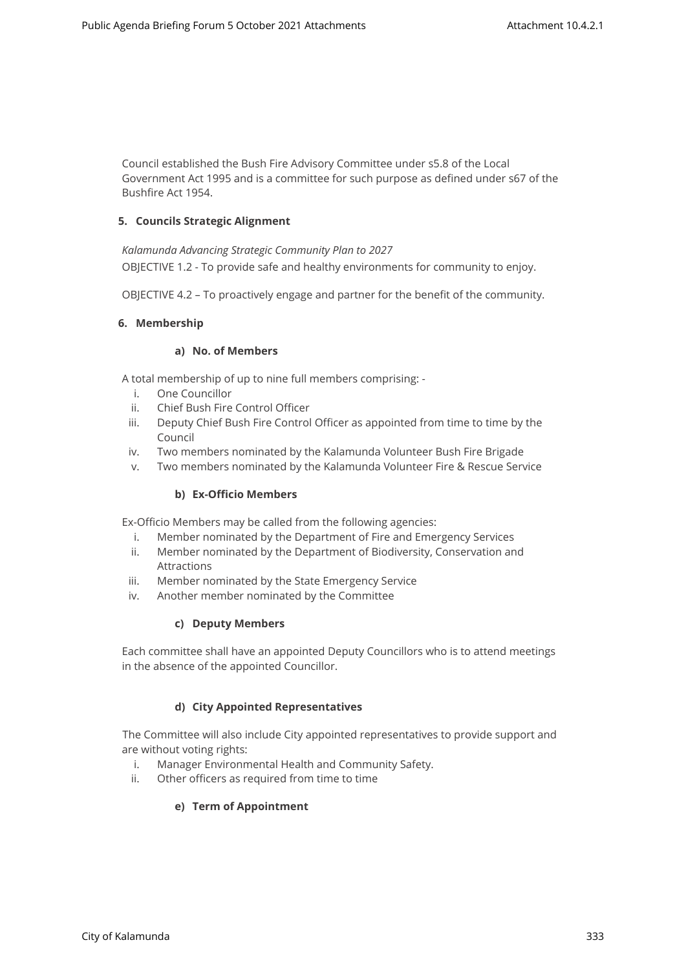Council established the Bush Fire Advisory Committee under s5.8 of the Local Government Act 1995 and is a committee for such purpose as defined under s67 of the Bushfire Act 1954.

# **5. Councils Strategic Alignment**

*Kalamunda Advancing Strategic Community Plan to 2027*  OBJECTIVE 1.2 - To provide safe and healthy environments for community to enjoy.

OBJECTIVE 4.2 – To proactively engage and partner for the benefit of the community.

# **6. Membership**

# **a) No. of Members**

A total membership of up to nine full members comprising: -

- i. One Councillor
- ii. Chief Bush Fire Control Officer
- iii. Deputy Chief Bush Fire Control Officer as appointed from time to time by the Council
- iv. Two members nominated by the Kalamunda Volunteer Bush Fire Brigade
- v. Two members nominated by the Kalamunda Volunteer Fire & Rescue Service

# **b) Ex-Officio Members**

Ex-Officio Members may be called from the following agencies:

- i. Member nominated by the Department of Fire and Emergency Services
- ii. Member nominated by the Department of Biodiversity, Conservation and Attractions
- iii. Member nominated by the State Emergency Service
- iv. Another member nominated by the Committee

# **c) Deputy Members**

Each committee shall have an appointed Deputy Councillors who is to attend meetings in the absence of the appointed Councillor.

# **d) City Appointed Representatives**

The Committee will also include City appointed representatives to provide support and are without voting rights:

- i. Manager Environmental Health and Community Safety.
- ii. Other officers as required from time to time

# **e) Term of Appointment**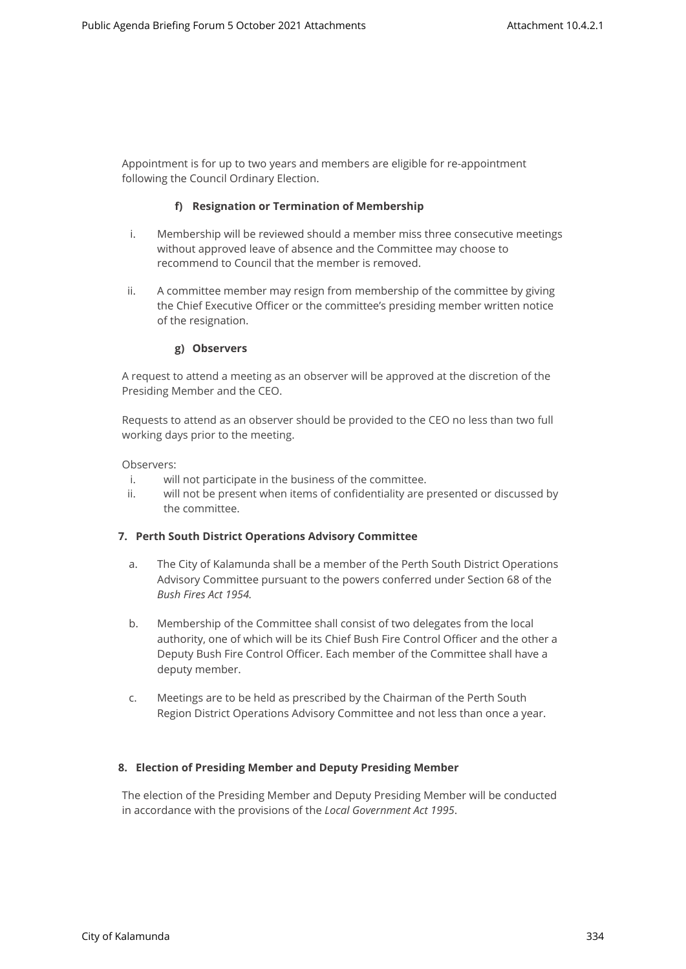Appointment is for up to two years and members are eligible for re-appointment following the Council Ordinary Election.

#### **f) Resignation or Termination of Membership**

- i. Membership will be reviewed should a member miss three consecutive meetings without approved leave of absence and the Committee may choose to recommend to Council that the member is removed.
- ii. A committee member may resign from membership of the committee by giving the Chief Executive Officer or the committee's presiding member written notice of the resignation.

#### **g) Observers**

A request to attend a meeting as an observer will be approved at the discretion of the Presiding Member and the CEO.

Requests to attend as an observer should be provided to the CEO no less than two full working days prior to the meeting.

Observers:

- i. will not participate in the business of the committee.
- ii. will not be present when items of confidentiality are presented or discussed by the committee.

#### **7. Perth South District Operations Advisory Committee**

- a. The City of Kalamunda shall be a member of the Perth South District Operations Advisory Committee pursuant to the powers conferred under Section 68 of the *Bush Fires Act 1954.*
- b. Membership of the Committee shall consist of two delegates from the local authority, one of which will be its Chief Bush Fire Control Officer and the other a Deputy Bush Fire Control Officer. Each member of the Committee shall have a deputy member.
- c. Meetings are to be held as prescribed by the Chairman of the Perth South Region District Operations Advisory Committee and not less than once a year.

# **8. Election of Presiding Member and Deputy Presiding Member**

The election of the Presiding Member and Deputy Presiding Member will be conducted in accordance with the provisions of the *Local Government Act 1995*.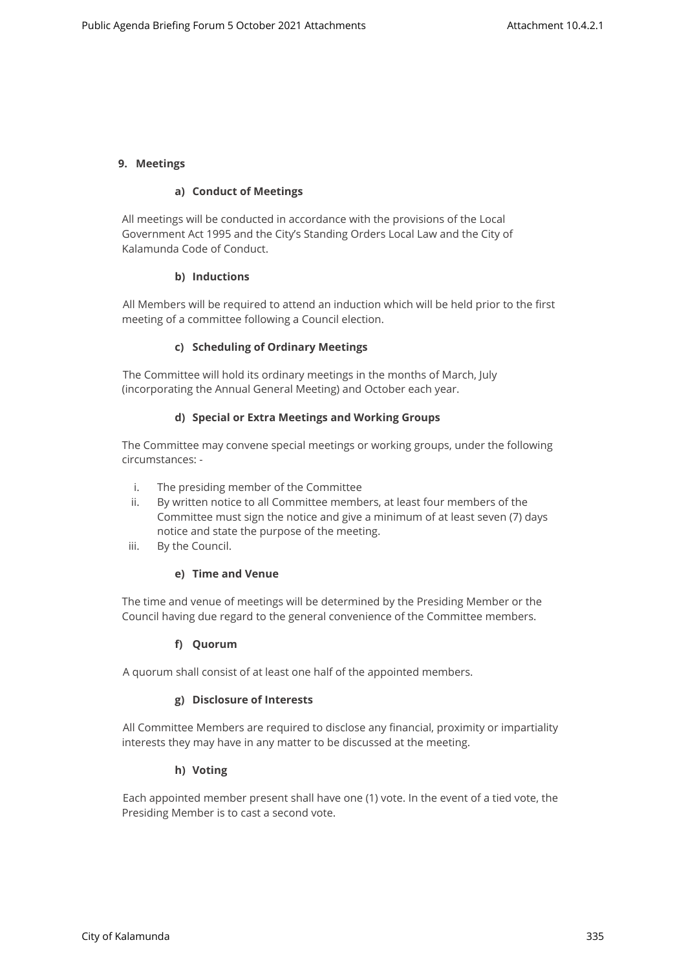## **9. Meetings**

#### **a) Conduct of Meetings**

All meetings will be conducted in accordance with the provisions of the Local Government Act 1995 and the City's Standing Orders Local Law and the City of Kalamunda Code of Conduct.

## **b) Inductions**

All Members will be required to attend an induction which will be held prior to the first meeting of a committee following a Council election.

#### **c) Scheduling of Ordinary Meetings**

The Committee will hold its ordinary meetings in the months of March, July (incorporating the Annual General Meeting) and October each year.

#### **d) Special or Extra Meetings and Working Groups**

The Committee may convene special meetings or working groups, under the following circumstances: -

- i. The presiding member of the Committee
- ii. By written notice to all Committee members, at least four members of the Committee must sign the notice and give a minimum of at least seven (7) days notice and state the purpose of the meeting.
- iii. By the Council.

# **e) Time and Venue**

The time and venue of meetings will be determined by the Presiding Member or the Council having due regard to the general convenience of the Committee members.

# **f) Quorum**

A quorum shall consist of at least one half of the appointed members.

# **g) Disclosure of Interests**

All Committee Members are required to disclose any financial, proximity or impartiality interests they may have in any matter to be discussed at the meeting.

#### **h) Voting**

Each appointed member present shall have one (1) vote. In the event of a tied vote, the Presiding Member is to cast a second vote.